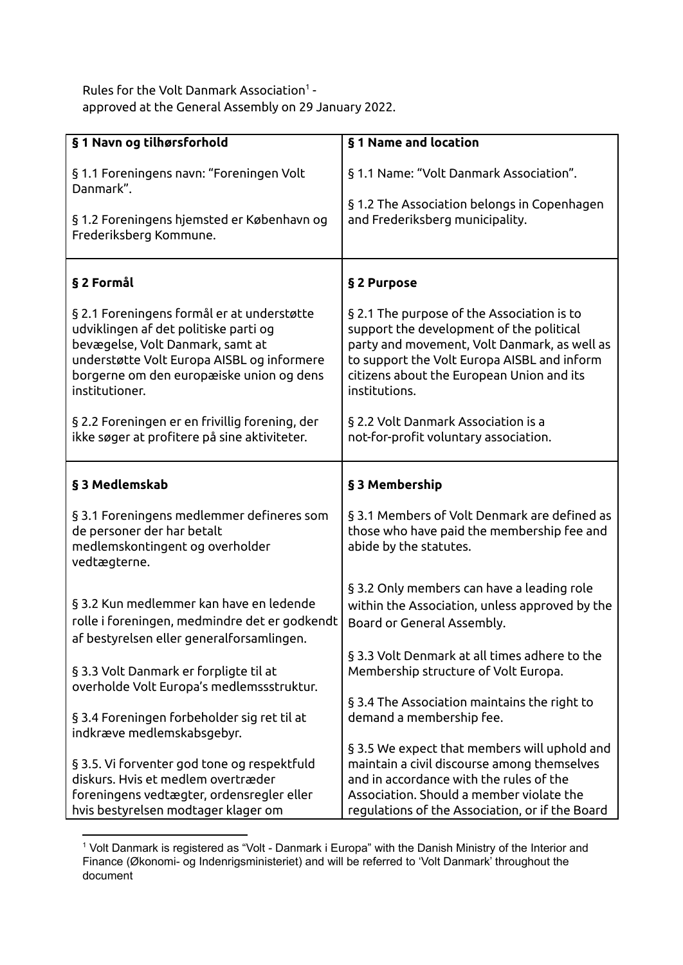Rules for the Volt Danmark Association<sup>1</sup> approved at the General Assembly on 29 January 2022.

| § 1 Navn og tilhørsforhold                                                                                                                                                                                                          | §1 Name and location                                                                                                                                                                                                                                |
|-------------------------------------------------------------------------------------------------------------------------------------------------------------------------------------------------------------------------------------|-----------------------------------------------------------------------------------------------------------------------------------------------------------------------------------------------------------------------------------------------------|
| §1.1 Foreningens navn: "Foreningen Volt<br>Danmark".<br>§ 1.2 Foreningens hjemsted er København og<br>Frederiksberg Kommune.                                                                                                        | §1.1 Name: "Volt Danmark Association".<br>§1.2 The Association belongs in Copenhagen<br>and Frederiksberg municipality.                                                                                                                             |
| § 2 Formål                                                                                                                                                                                                                          | § 2 Purpose                                                                                                                                                                                                                                         |
| § 2.1 Foreningens formål er at understøtte<br>udviklingen af det politiske parti og<br>bevægelse, Volt Danmark, samt at<br>understøtte Volt Europa AISBL og informere<br>borgerne om den europæiske union og dens<br>institutioner. | § 2.1 The purpose of the Association is to<br>support the development of the political<br>party and movement, Volt Danmark, as well as<br>to support the Volt Europa AISBL and inform<br>citizens about the European Union and its<br>institutions. |
| § 2.2 Foreningen er en frivillig forening, der<br>ikke søger at profitere på sine aktiviteter.                                                                                                                                      | § 2.2 Volt Danmark Association is a<br>not-for-profit voluntary association.                                                                                                                                                                        |
| § 3 Medlemskab                                                                                                                                                                                                                      | § 3 Membership                                                                                                                                                                                                                                      |
| § 3.1 Foreningens medlemmer defineres som<br>de personer der har betalt<br>medlemskontingent og overholder<br>vedtægterne.                                                                                                          | § 3.1 Members of Volt Denmark are defined as<br>those who have paid the membership fee and<br>abide by the statutes.                                                                                                                                |
| § 3.2 Kun medlemmer kan have en ledende<br>rolle i foreningen, medmindre det er godkendt<br>af bestyrelsen eller generalforsamlingen.                                                                                               | § 3.2 Only members can have a leading role<br>within the Association, unless approved by the<br>Board or General Assembly.                                                                                                                          |
| § 3.3 Volt Danmark er forpligte til at<br>overholde Volt Europa's medlemssstruktur.                                                                                                                                                 | § 3.3 Volt Denmark at all times adhere to the<br>Membership structure of Volt Europa.                                                                                                                                                               |
| § 3.4 Foreningen forbeholder sig ret til at<br>indkræve medlemskabsgebyr.                                                                                                                                                           | § 3.4 The Association maintains the right to<br>demand a membership fee.                                                                                                                                                                            |
| § 3.5. Vi forventer god tone og respektfuld<br>diskurs. Hvis et medlem overtræder<br>foreningens vedtægter, ordensregler eller<br>hvis bestyrelsen modtager klager om                                                               | §3.5 We expect that members will uphold and<br>maintain a civil discourse among themselves<br>and in accordance with the rules of the<br>Association. Should a member violate the<br>regulations of the Association, or if the Board                |

<sup>&</sup>lt;sup>1</sup> Volt Danmark is registered as "Volt - Danmark i Europa" with the Danish Ministry of the Interior and Finance (Økonomi- og Indenrigsministeriet) and will be referred to 'Volt Danmark' throughout the document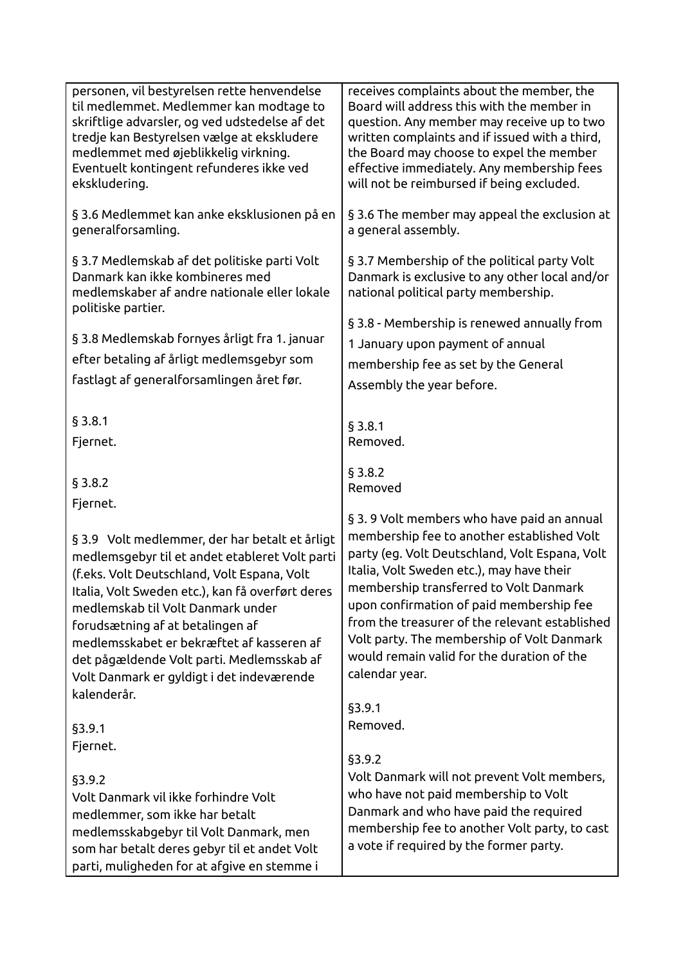| personen, vil bestyrelsen rette henvendelse<br>til medlemmet. Medlemmer kan modtage to<br>skriftlige advarsler, og ved udstedelse af det<br>tredje kan Bestyrelsen vælge at ekskludere<br>medlemmet med øjeblikkelig virkning.<br>Eventuelt kontingent refunderes ikke ved<br>ekskludering.                                                                                                                                                    | receives complaints about the member, the<br>Board will address this with the member in<br>question. Any member may receive up to two<br>written complaints and if issued with a third,<br>the Board may choose to expel the member<br>effective immediately. Any membership fees<br>will not be reimbursed if being excluded.                                                                                                                |
|------------------------------------------------------------------------------------------------------------------------------------------------------------------------------------------------------------------------------------------------------------------------------------------------------------------------------------------------------------------------------------------------------------------------------------------------|-----------------------------------------------------------------------------------------------------------------------------------------------------------------------------------------------------------------------------------------------------------------------------------------------------------------------------------------------------------------------------------------------------------------------------------------------|
| § 3.6 Medlemmet kan anke eksklusionen på en<br>generalforsamling.                                                                                                                                                                                                                                                                                                                                                                              | § 3.6 The member may appeal the exclusion at<br>a general assembly.                                                                                                                                                                                                                                                                                                                                                                           |
| § 3.7 Medlemskab af det politiske parti Volt<br>Danmark kan ikke kombineres med<br>medlemskaber af andre nationale eller lokale<br>politiske partier.                                                                                                                                                                                                                                                                                          | § 3.7 Membership of the political party Volt<br>Danmark is exclusive to any other local and/or<br>national political party membership.                                                                                                                                                                                                                                                                                                        |
|                                                                                                                                                                                                                                                                                                                                                                                                                                                | § 3.8 - Membership is renewed annually from                                                                                                                                                                                                                                                                                                                                                                                                   |
| § 3.8 Medlemskab fornyes årligt fra 1. januar                                                                                                                                                                                                                                                                                                                                                                                                  | 1 January upon payment of annual                                                                                                                                                                                                                                                                                                                                                                                                              |
| efter betaling af årligt medlemsgebyr som                                                                                                                                                                                                                                                                                                                                                                                                      | membership fee as set by the General                                                                                                                                                                                                                                                                                                                                                                                                          |
| fastlagt af generalforsamlingen året før.                                                                                                                                                                                                                                                                                                                                                                                                      | Assembly the year before.                                                                                                                                                                                                                                                                                                                                                                                                                     |
|                                                                                                                                                                                                                                                                                                                                                                                                                                                |                                                                                                                                                                                                                                                                                                                                                                                                                                               |
| § 3.8.1                                                                                                                                                                                                                                                                                                                                                                                                                                        | § 3.8.1                                                                                                                                                                                                                                                                                                                                                                                                                                       |
| Fjernet.                                                                                                                                                                                                                                                                                                                                                                                                                                       | Removed.                                                                                                                                                                                                                                                                                                                                                                                                                                      |
|                                                                                                                                                                                                                                                                                                                                                                                                                                                |                                                                                                                                                                                                                                                                                                                                                                                                                                               |
| § 3.8.2                                                                                                                                                                                                                                                                                                                                                                                                                                        | § 3.8.2                                                                                                                                                                                                                                                                                                                                                                                                                                       |
|                                                                                                                                                                                                                                                                                                                                                                                                                                                | Removed                                                                                                                                                                                                                                                                                                                                                                                                                                       |
| Fjernet.<br>§ 3.9 Volt medlemmer, der har betalt et årligt<br>medlemsgebyr til et andet etableret Volt parti<br>(f.eks. Volt Deutschland, Volt Espana, Volt<br>Italia, Volt Sweden etc.), kan få overført deres<br>medlemskab til Volt Danmark under<br>forudsætning af at betalingen af<br>medlemsskabet er bekræftet af kasseren af<br>det pågældende Volt parti. Medlemsskab af<br>Volt Danmark er gyldigt i det indeværende<br>kalenderår. | § 3.9 Volt members who have paid an annual<br>membership fee to another established Volt<br>party (eg. Volt Deutschland, Volt Espana, Volt<br>Italia, Volt Sweden etc.), may have their<br>membership transferred to Volt Danmark<br>upon confirmation of paid membership fee<br>from the treasurer of the relevant established<br>Volt party. The membership of Volt Danmark<br>would remain valid for the duration of the<br>calendar year. |
|                                                                                                                                                                                                                                                                                                                                                                                                                                                | §3.9.1                                                                                                                                                                                                                                                                                                                                                                                                                                        |
| §3.9.1                                                                                                                                                                                                                                                                                                                                                                                                                                         | Removed.                                                                                                                                                                                                                                                                                                                                                                                                                                      |
| Fjernet.                                                                                                                                                                                                                                                                                                                                                                                                                                       |                                                                                                                                                                                                                                                                                                                                                                                                                                               |
| §3.9.2<br>Volt Danmark vil ikke forhindre Volt<br>medlemmer, som ikke har betalt<br>medlemsskabgebyr til Volt Danmark, men<br>som har betalt deres gebyr til et andet Volt<br>parti, muligheden for at afgive en stemme i                                                                                                                                                                                                                      | \$3.9.2<br>Volt Danmark will not prevent Volt members,<br>who have not paid membership to Volt<br>Danmark and who have paid the required<br>membership fee to another Volt party, to cast<br>a vote if required by the former party.                                                                                                                                                                                                          |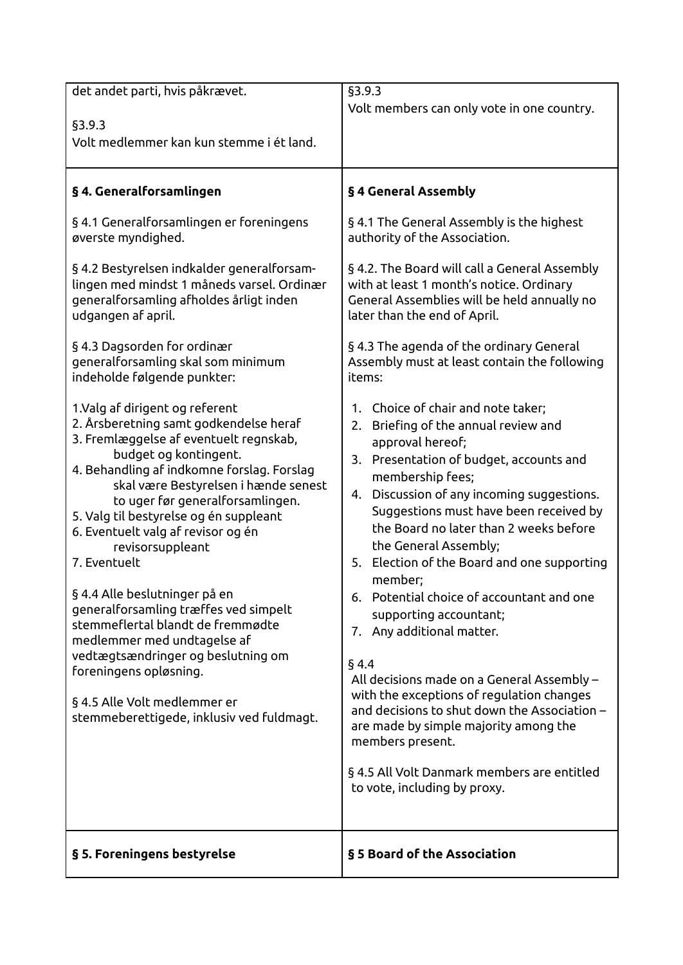| det andet parti, hvis påkrævet.                                                                                                                                                                                                                                                                                                                                                                                                                                                                                                                                                                                                                                                      | §3.9.3                                                                                                                                                                                                                                                                                                                                                                                                                                                                                                                                                                                                                                                                                                                                                                                |
|--------------------------------------------------------------------------------------------------------------------------------------------------------------------------------------------------------------------------------------------------------------------------------------------------------------------------------------------------------------------------------------------------------------------------------------------------------------------------------------------------------------------------------------------------------------------------------------------------------------------------------------------------------------------------------------|---------------------------------------------------------------------------------------------------------------------------------------------------------------------------------------------------------------------------------------------------------------------------------------------------------------------------------------------------------------------------------------------------------------------------------------------------------------------------------------------------------------------------------------------------------------------------------------------------------------------------------------------------------------------------------------------------------------------------------------------------------------------------------------|
|                                                                                                                                                                                                                                                                                                                                                                                                                                                                                                                                                                                                                                                                                      | Volt members can only vote in one country.                                                                                                                                                                                                                                                                                                                                                                                                                                                                                                                                                                                                                                                                                                                                            |
| §3.9.3                                                                                                                                                                                                                                                                                                                                                                                                                                                                                                                                                                                                                                                                               |                                                                                                                                                                                                                                                                                                                                                                                                                                                                                                                                                                                                                                                                                                                                                                                       |
| Volt medlemmer kan kun stemme i ét land.                                                                                                                                                                                                                                                                                                                                                                                                                                                                                                                                                                                                                                             |                                                                                                                                                                                                                                                                                                                                                                                                                                                                                                                                                                                                                                                                                                                                                                                       |
|                                                                                                                                                                                                                                                                                                                                                                                                                                                                                                                                                                                                                                                                                      |                                                                                                                                                                                                                                                                                                                                                                                                                                                                                                                                                                                                                                                                                                                                                                                       |
| § 4. Generalforsamlingen                                                                                                                                                                                                                                                                                                                                                                                                                                                                                                                                                                                                                                                             | § 4 General Assembly                                                                                                                                                                                                                                                                                                                                                                                                                                                                                                                                                                                                                                                                                                                                                                  |
| § 4.1 Generalforsamlingen er foreningens<br>øverste myndighed.                                                                                                                                                                                                                                                                                                                                                                                                                                                                                                                                                                                                                       | § 4.1 The General Assembly is the highest<br>authority of the Association.                                                                                                                                                                                                                                                                                                                                                                                                                                                                                                                                                                                                                                                                                                            |
| § 4.2 Bestyrelsen indkalder generalforsam-<br>lingen med mindst 1 måneds varsel. Ordinær<br>generalforsamling afholdes årligt inden<br>udgangen af april.                                                                                                                                                                                                                                                                                                                                                                                                                                                                                                                            | § 4.2. The Board will call a General Assembly<br>with at least 1 month's notice. Ordinary<br>General Assemblies will be held annually no<br>later than the end of April.                                                                                                                                                                                                                                                                                                                                                                                                                                                                                                                                                                                                              |
| §4.3 Dagsorden for ordinær<br>generalforsamling skal som minimum<br>indeholde følgende punkter:                                                                                                                                                                                                                                                                                                                                                                                                                                                                                                                                                                                      | §4.3 The agenda of the ordinary General<br>Assembly must at least contain the following<br>items:                                                                                                                                                                                                                                                                                                                                                                                                                                                                                                                                                                                                                                                                                     |
| 1.Valg af dirigent og referent<br>2. Årsberetning samt godkendelse heraf<br>3. Fremlæggelse af eventuelt regnskab,<br>budget og kontingent.<br>4. Behandling af indkomne forslag. Forslag<br>skal være Bestyrelsen i hænde senest<br>to uger før generalforsamlingen.<br>5. Valg til bestyrelse og én suppleant<br>6. Eventuelt valg af revisor og én<br>revisorsuppleant<br>7. Eventuelt<br>§ 4.4 Alle beslutninger på en<br>generalforsamling træffes ved simpelt<br>stemmeflertal blandt de fremmødte<br>medlemmer med undtagelse af<br>vedtægtsændringer og beslutning om<br>foreningens opløsning.<br>§ 4.5 Alle Volt medlemmer er<br>stemmeberettigede, inklusiv ved fuldmagt. | 1. Choice of chair and note taker;<br>2. Briefing of the annual review and<br>approval hereof;<br>3. Presentation of budget, accounts and<br>membership fees;<br>4. Discussion of any incoming suggestions.<br>Suggestions must have been received by<br>the Board no later than 2 weeks before<br>the General Assembly;<br>5. Election of the Board and one supporting<br>member;<br>6. Potential choice of accountant and one<br>supporting accountant;<br>7. Any additional matter.<br>§4.4<br>All decisions made on a General Assembly –<br>with the exceptions of regulation changes<br>and decisions to shut down the Association -<br>are made by simple majority among the<br>members present.<br>§ 4.5 All Volt Danmark members are entitled<br>to vote, including by proxy. |
| § 5. Foreningens bestyrelse                                                                                                                                                                                                                                                                                                                                                                                                                                                                                                                                                                                                                                                          | § 5 Board of the Association                                                                                                                                                                                                                                                                                                                                                                                                                                                                                                                                                                                                                                                                                                                                                          |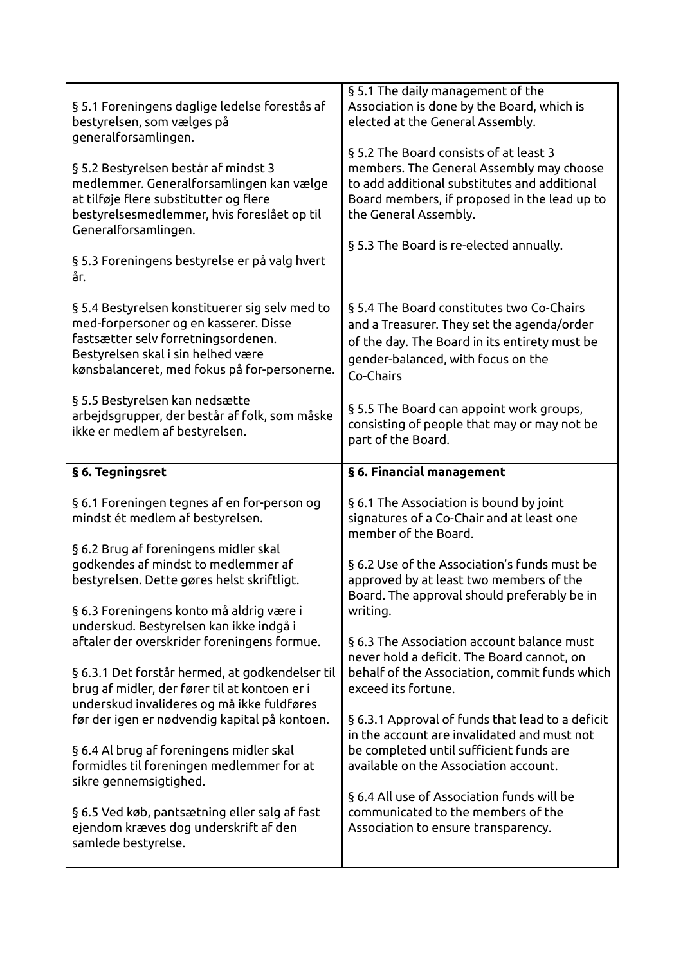| § 5.1 Foreningens daglige ledelse forestås af<br>bestyrelsen, som vælges på<br>generalforsamlingen.<br>§ 5.2 Bestyrelsen består af mindst 3<br>medlemmer. Generalforsamlingen kan vælge<br>at tilføje flere substitutter og flere<br>bestyrelsesmedlemmer, hvis foreslået op til<br>Generalforsamlingen.<br>§ 5.3 Foreningens bestyrelse er på valg hvert<br>år. | § 5.1 The daily management of the<br>Association is done by the Board, which is<br>elected at the General Assembly.<br>§5.2 The Board consists of at least 3<br>members. The General Assembly may choose<br>to add additional substitutes and additional<br>Board members, if proposed in the lead up to<br>the General Assembly.<br>§ 5.3 The Board is re-elected annually. |
|------------------------------------------------------------------------------------------------------------------------------------------------------------------------------------------------------------------------------------------------------------------------------------------------------------------------------------------------------------------|------------------------------------------------------------------------------------------------------------------------------------------------------------------------------------------------------------------------------------------------------------------------------------------------------------------------------------------------------------------------------|
| § 5.4 Bestyrelsen konstituerer sig selv med to<br>med-forpersoner og en kasserer. Disse<br>fastsætter selv forretningsordenen.<br>Bestyrelsen skal i sin helhed være<br>kønsbalanceret, med fokus på for-personerne.<br>§ 5.5 Bestyrelsen kan nedsætte<br>arbejdsgrupper, der består af folk, som måske<br>ikke er medlem af bestyrelsen.                        | § 5.4 The Board constitutes two Co-Chairs<br>and a Treasurer. They set the agenda/order<br>of the day. The Board in its entirety must be<br>gender-balanced, with focus on the<br>Co-Chairs<br>§5.5 The Board can appoint work groups,<br>consisting of people that may or may not be<br>part of the Board.                                                                  |
| § 6. Tegningsret                                                                                                                                                                                                                                                                                                                                                 | § 6. Financial management                                                                                                                                                                                                                                                                                                                                                    |
| § 6.1 Foreningen tegnes af en for-person og<br>mindst ét medlem af bestyrelsen.                                                                                                                                                                                                                                                                                  | § 6.1 The Association is bound by joint<br>signatures of a Co-Chair and at least one<br>member of the Board.                                                                                                                                                                                                                                                                 |
| § 6.2 Brug af foreningens midler skal<br>godkendes af mindst to medlemmer af<br>bestyrelsen. Dette gøres helst skriftligt.                                                                                                                                                                                                                                       | § 6.2 Use of the Association's funds must be<br>approved by at least two members of the                                                                                                                                                                                                                                                                                      |
| § 6.3 Foreningens konto må aldrig være i                                                                                                                                                                                                                                                                                                                         | Board. The approval should preferably be in<br>writing.                                                                                                                                                                                                                                                                                                                      |
| underskud. Bestyrelsen kan ikke indgå i<br>aftaler der overskrider foreningens formue.<br>§ 6.3.1 Det forstår hermed, at godkendelser til                                                                                                                                                                                                                        | §6.3 The Association account balance must<br>never hold a deficit. The Board cannot, on<br>behalf of the Association, commit funds which                                                                                                                                                                                                                                     |
| brug af midler, der fører til at kontoen er i<br>underskud invalideres og må ikke fuldføres<br>før der igen er nødvendig kapital på kontoen.                                                                                                                                                                                                                     | exceed its fortune.<br>§ 6.3.1 Approval of funds that lead to a deficit                                                                                                                                                                                                                                                                                                      |
| § 6.4 Al brug af foreningens midler skal<br>formidles til foreningen medlemmer for at<br>sikre gennemsigtighed.                                                                                                                                                                                                                                                  | in the account are invalidated and must not<br>be completed until sufficient funds are<br>available on the Association account.                                                                                                                                                                                                                                              |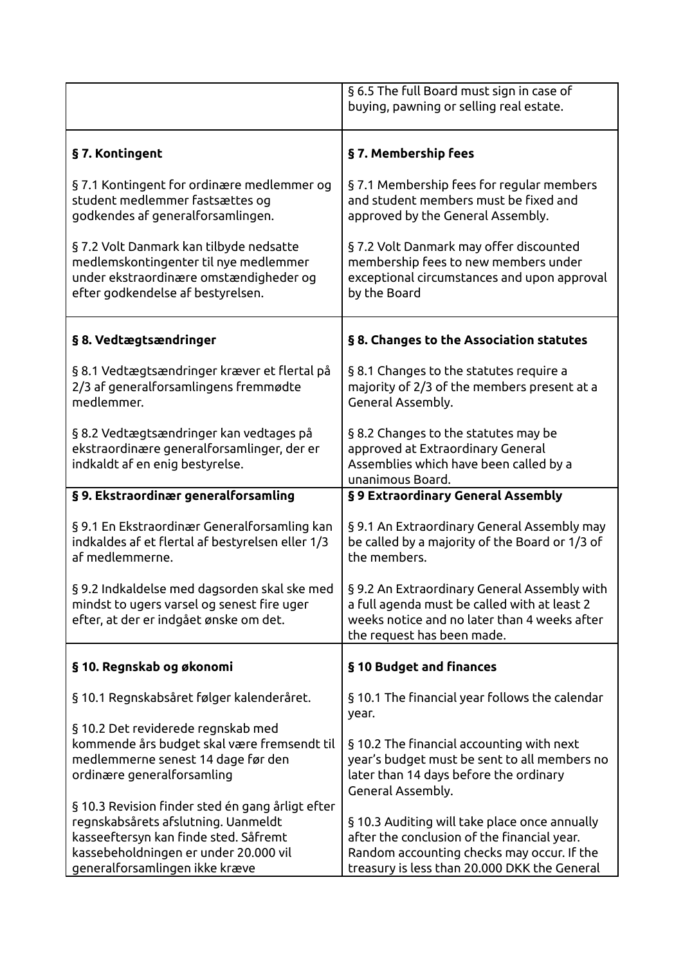|                                                                                                                                                                                                             | § 6.5 The full Board must sign in case of<br>buying, pawning or selling real estate.                                                                                                      |
|-------------------------------------------------------------------------------------------------------------------------------------------------------------------------------------------------------------|-------------------------------------------------------------------------------------------------------------------------------------------------------------------------------------------|
| §7. Kontingent                                                                                                                                                                                              | §7. Membership fees                                                                                                                                                                       |
| §7.1 Kontingent for ordinære medlemmer og<br>student medlemmer fastsættes og<br>godkendes af generalforsamlingen.                                                                                           | §7.1 Membership fees for regular members<br>and student members must be fixed and<br>approved by the General Assembly.                                                                    |
| § 7.2 Volt Danmark kan tilbyde nedsatte<br>medlemskontingenter til nye medlemmer<br>under ekstraordinære omstændigheder og<br>efter godkendelse af bestyrelsen.                                             | §7.2 Volt Danmark may offer discounted<br>membership fees to new members under<br>exceptional circumstances and upon approval<br>by the Board                                             |
| § 8. Vedtægtsændringer                                                                                                                                                                                      | §8. Changes to the Association statutes                                                                                                                                                   |
| § 8.1 Vedtægtsændringer kræver et flertal på<br>2/3 af generalforsamlingens fremmødte<br>medlemmer.                                                                                                         | § 8.1 Changes to the statutes require a<br>majority of 2/3 of the members present at a<br>General Assembly.                                                                               |
| § 8.2 Vedtægtsændringer kan vedtages på<br>ekstraordinære generalforsamlinger, der er<br>indkaldt af en enig bestyrelse.                                                                                    | § 8.2 Changes to the statutes may be<br>approved at Extraordinary General<br>Assemblies which have been called by a<br>unanimous Board.                                                   |
| § 9. Ekstraordinær generalforsamling                                                                                                                                                                        | §9 Extraordinary General Assembly                                                                                                                                                         |
| § 9.1 En Ekstraordinær Generalforsamling kan<br>indkaldes af et flertal af bestyrelsen eller 1/3<br>af medlemmerne.                                                                                         | § 9.1 An Extraordinary General Assembly may<br>be called by a majority of the Board or 1/3 of<br>the members.                                                                             |
| § 9.2 Indkaldelse med dagsorden skal ske med<br>mindst to ugers varsel og senest fire uger<br>efter, at der er indgået ønske om det.                                                                        | § 9.2 An Extraordinary General Assembly with<br>a full agenda must be called with at least 2<br>weeks notice and no later than 4 weeks after<br>the request has been made.                |
| § 10. Regnskab og økonomi                                                                                                                                                                                   | § 10 Budget and finances                                                                                                                                                                  |
| § 10.1 Regnskabsåret følger kalenderåret.                                                                                                                                                                   | § 10.1 The financial year follows the calendar<br>year.                                                                                                                                   |
| § 10.2 Det reviderede regnskab med<br>kommende års budget skal være fremsendt til<br>medlemmerne senest 14 dage før den<br>ordinære generalforsamling                                                       | §10.2 The financial accounting with next<br>year's budget must be sent to all members no<br>later than 14 days before the ordinary<br>General Assembly.                                   |
| § 10.3 Revision finder sted én gang årligt efter<br>regnskabsårets afslutning. Uanmeldt<br>kasseeftersyn kan finde sted. Såfremt<br>kassebeholdningen er under 20.000 vil<br>generalforsamlingen ikke kræve | §10.3 Auditing will take place once annually<br>after the conclusion of the financial year.<br>Random accounting checks may occur. If the<br>treasury is less than 20.000 DKK the General |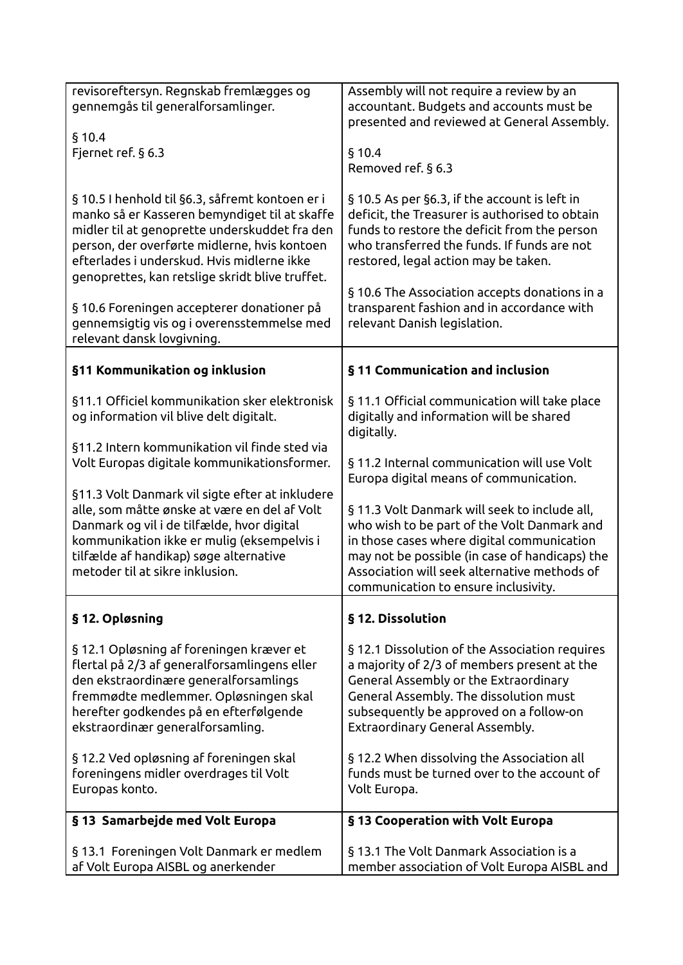| revisoreftersyn. Regnskab fremlægges og         | Assembly will not require a review by an                                                |
|-------------------------------------------------|-----------------------------------------------------------------------------------------|
| gennemgås til generalforsamlinger.              | accountant. Budgets and accounts must be                                                |
|                                                 | presented and reviewed at General Assembly.                                             |
| § 10.4                                          |                                                                                         |
| Fjernet ref. § 6.3                              | § 10.4                                                                                  |
|                                                 | Removed ref. § 6.3                                                                      |
|                                                 |                                                                                         |
| § 10.5 I henhold til §6.3, såfremt kontoen er i | § 10.5 As per §6.3, if the account is left in                                           |
| manko så er Kasseren bemyndiget til at skaffe   | deficit, the Treasurer is authorised to obtain                                          |
| midler til at genoprette underskuddet fra den   | funds to restore the deficit from the person                                            |
| person, der overførte midlerne, hvis kontoen    | who transferred the funds. If funds are not                                             |
| efterlades i underskud. Hvis midlerne ikke      | restored, legal action may be taken.                                                    |
| genoprettes, kan retslige skridt blive truffet. |                                                                                         |
|                                                 | § 10.6 The Association accepts donations in a                                           |
| § 10.6 Foreningen accepterer donationer på      | transparent fashion and in accordance with                                              |
| gennemsigtig vis og i overensstemmelse med      | relevant Danish legislation.                                                            |
| relevant dansk lovgivning.                      |                                                                                         |
|                                                 |                                                                                         |
| §11 Kommunikation og inklusion                  | §11 Communication and inclusion                                                         |
|                                                 |                                                                                         |
| §11.1 Officiel kommunikation sker elektronisk   | §11.1 Official communication will take place                                            |
| og information vil blive delt digitalt.         | digitally and information will be shared                                                |
|                                                 | digitally.                                                                              |
| §11.2 Intern kommunikation vil finde sted via   |                                                                                         |
| Volt Europas digitale kommunikationsformer.     | §11.2 Internal communication will use Volt                                              |
|                                                 | Europa digital means of communication.                                                  |
| §11.3 Volt Danmark vil sigte efter at inkludere |                                                                                         |
| alle, som måtte ønske at være en del af Volt    | §11.3 Volt Danmark will seek to include all,                                            |
| Danmark og vil i de tilfælde, hvor digital      | who wish to be part of the Volt Danmark and                                             |
| kommunikation ikke er mulig (eksempelvis i      | in those cases where digital communication                                              |
| tilfælde af handikap) søge alternative          | may not be possible (in case of handicaps) the                                          |
| metoder til at sikre inklusion.                 | Association will seek alternative methods of                                            |
|                                                 | communication to ensure inclusivity.                                                    |
|                                                 |                                                                                         |
| §12. Opløsning                                  | § 12. Dissolution                                                                       |
|                                                 |                                                                                         |
| §12.1 Opløsning af foreningen kræver et         | §12.1 Dissolution of the Association requires                                           |
| flertal på 2/3 af generalforsamlingens eller    | a majority of 2/3 of members present at the                                             |
| den ekstraordinære generalforsamlings           | <b>General Assembly or the Extraordinary</b>                                            |
| fremmødte medlemmer. Opløsningen skal           | General Assembly. The dissolution must                                                  |
| herefter godkendes på en efterfølgende          | subsequently be approved on a follow-on                                                 |
| ekstraordinær generalforsamling.                | Extraordinary General Assembly.                                                         |
|                                                 |                                                                                         |
| §12.2 Ved opløsning af foreningen skal          | §12.2 When dissolving the Association all                                               |
| foreningens midler overdrages til Volt          | funds must be turned over to the account of                                             |
| Europas konto.                                  | Volt Europa.                                                                            |
|                                                 |                                                                                         |
| § 13 Samarbejde med Volt Europa                 | § 13 Cooperation with Volt Europa                                                       |
|                                                 |                                                                                         |
| § 13.1 Foreningen Volt Danmark er medlem        |                                                                                         |
| af Volt Europa AISBL og anerkender              | § 13.1 The Volt Danmark Association is a<br>member association of Volt Europa AISBL and |